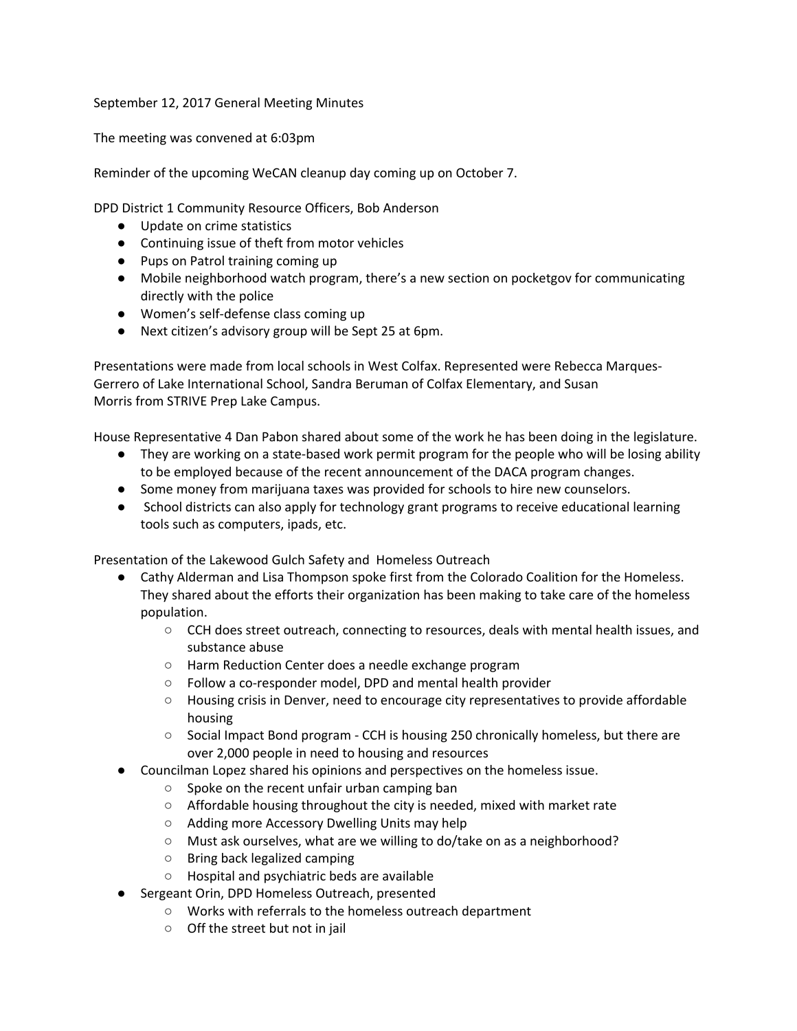September 12, 2017 General Meeting Minutes

The meeting was convened at 6:03pm

Reminder of the upcoming WeCAN cleanup day coming up on October 7.

DPD District 1 Community Resource Officers, Bob Anderson

- Update on crime statistics
- Continuing issue of theft from motor vehicles
- Pups on Patrol training coming up
- Mobile neighborhood watch program, there's a new section on pocketgov for communicating directly with the police
- Women's self-defense class coming up
- Next citizen's advisory group will be Sept 25 at 6pm.

Presentations were made from local schools in West Colfax. Represented were Rebecca Marques-Gerrero of Lake International School, Sandra Beruman of Colfax Elementary, and Susan Morris from STRIVE Prep Lake Campus.

House Representative 4 Dan Pabon shared about some of the work he has been doing in the legislature.

- They are working on a state-based work permit program for the people who will be losing ability to be employed because of the recent announcement of the DACA program changes.
- Some money from marijuana taxes was provided for schools to hire new counselors.
- School districts can also apply for technology grant programs to receive educational learning tools such as computers, ipads, etc.

Presentation of the Lakewood Gulch Safety and Homeless Outreach

- Cathy Alderman and Lisa Thompson spoke first from the Colorado Coalition for the Homeless. They shared about the efforts their organization has been making to take care of the homeless population.
	- CCH does street outreach, connecting to resources, deals with mental health issues, and substance abuse
	- Harm Reduction Center does a needle exchange program
	- Follow a co-responder model, DPD and mental health provider
	- Housing crisis in Denver, need to encourage city representatives to provide affordable housing
	- Social Impact Bond program CCH is housing 250 chronically homeless, but there are over 2,000 people in need to housing and resources
	- Councilman Lopez shared his opinions and perspectives on the homeless issue.
		- Spoke on the recent unfair urban camping ban
		- Affordable housing throughout the city is needed, mixed with market rate
		- Adding more Accessory Dwelling Units may help
		- Must ask ourselves, what are we willing to do/take on as a neighborhood?
		- Bring back legalized camping
		- Hospital and psychiatric beds are available
- Sergeant Orin, DPD Homeless Outreach, presented
	- Works with referrals to the homeless outreach department
	- Off the street but not in jail